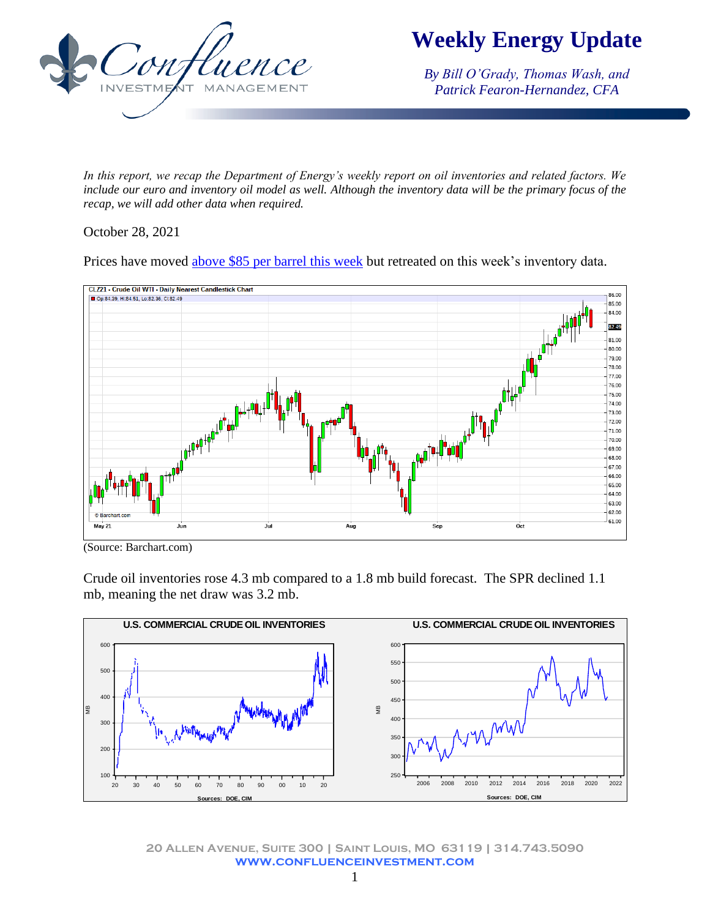

**Weekly Energy Update**

*By Bill O'Grady, Thomas Wash, and Patrick Fearon-Hernandez, CFA*

*In this report, we recap the Department of Energy's weekly report on oil inventories and related factors. We include our euro and inventory oil model as well. Although the inventory data will be the primary focus of the recap, we will add other data when required.* 

## October 28, 2021

Prices have moved above \$85 [per barrel](https://www.ft.com/content/c05f2254-589b-436b-b468-6e25e43b31ae?emailId=6177337598df3f000467d7ff&segmentId=7e94968a-a618-c46d-4d8b-6e2655e68320) this week but retreated on this week's inventory data.



(Source: Barchart.com)

Crude oil inventories rose 4.3 mb compared to a 1.8 mb build forecast. The SPR declined 1.1 mb, meaning the net draw was 3.2 mb.



**20 Allen Avenue, Suite 300 | Saint Louis, MO 63119 | 314.743.5090 www.confluenceinvestment.com**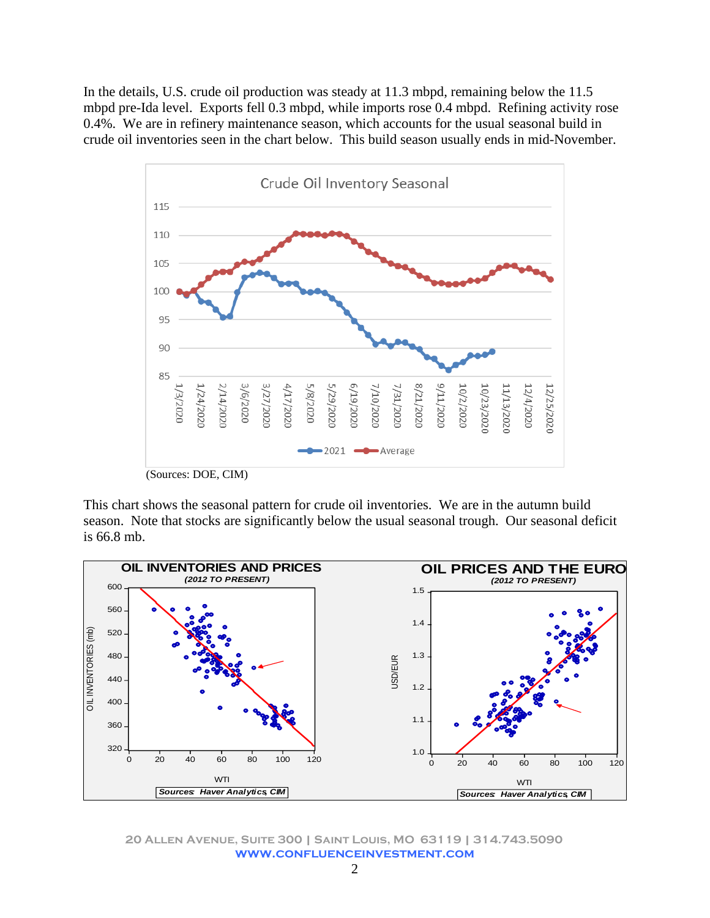In the details, U.S. crude oil production was steady at 11.3 mbpd, remaining below the 11.5 mbpd pre-Ida level. Exports fell 0.3 mbpd, while imports rose 0.4 mbpd. Refining activity rose 0.4%. We are in refinery maintenance season, which accounts for the usual seasonal build in crude oil inventories seen in the chart below. This build season usually ends in mid-November.



This chart shows the seasonal pattern for crude oil inventories. We are in the autumn build season. Note that stocks are significantly below the usual seasonal trough. Our seasonal deficit is 66.8 mb.



**20 Allen Avenue, Suite 300 | Saint Louis, MO 63119 | 314.743.5090 www.confluenceinvestment.com**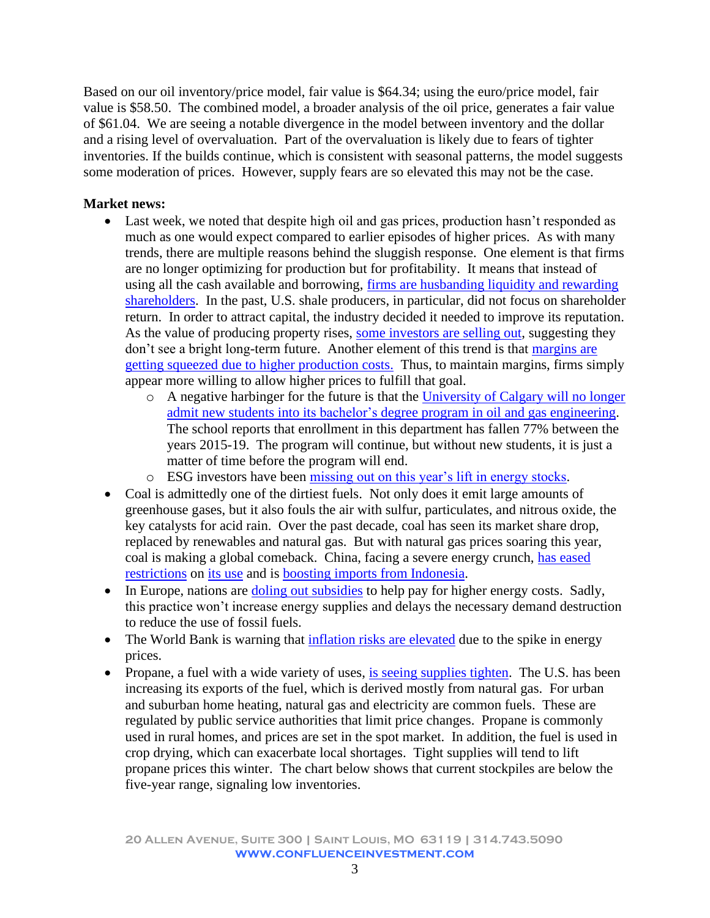Based on our oil inventory/price model, fair value is \$64.34; using the euro/price model, fair value is \$58.50. The combined model, a broader analysis of the oil price, generates a fair value of \$61.04. We are seeing a notable divergence in the model between inventory and the dollar and a rising level of overvaluation. Part of the overvaluation is likely due to fears of tighter inventories. If the builds continue, which is consistent with seasonal patterns, the model suggests some moderation of prices. However, supply fears are so elevated this may not be the case.

## **Market news:**

- Last week, we noted that despite high oil and gas prices, production hasn't responded as much as one would expect compared to earlier episodes of higher prices. As with many trends, there are multiple reasons behind the sluggish response. One element is that firms are no longer optimizing for production but for profitability. It means that instead of using all the cash available and borrowing, [firms are husbanding liquidity and rewarding](https://rbnenergy.com/money-thats-what-i-want-eandps-start-hoarding-cash-from-rapidly-rising-inflows)  [shareholders.](https://rbnenergy.com/money-thats-what-i-want-eandps-start-hoarding-cash-from-rapidly-rising-inflows) In the past, U.S. shale producers, in particular, did not focus on shareholder return. In order to attract capital, the industry decided it needed to improve its reputation. As the value of producing property rises, [some investors are selling out,](https://oilprice.com/Energy/Natural-Gas/Why-Are-Private-Equity-Firms-Dumping-US-Shale-Gas-Assets.html) suggesting they don't see a bright long-term future. Another element of this trend is that [margins are](https://www.ft.com/content/464bc3a6-d162-4f94-9180-edc7043516ab?emailId=6177337598df3f000467d7ff&segmentId=7e94968a-a618-c46d-4d8b-6e2655e68320)  [getting squeezed due to higher production costs.](https://www.ft.com/content/464bc3a6-d162-4f94-9180-edc7043516ab?emailId=6177337598df3f000467d7ff&segmentId=7e94968a-a618-c46d-4d8b-6e2655e68320) Thus, to maintain margins, firms simply appear more willing to allow higher prices to fulfill that goal.
	- o A negative harbinger for the future is that the [University of Calgary will no longer](https://www.theenergymix.com/2021/07/11/university-of-calgary-suspends-admissions-for-oil-and-gas-engineering-program/)  admit new students [into its bachelor's degree program in oil and gas engineering.](https://www.theenergymix.com/2021/07/11/university-of-calgary-suspends-admissions-for-oil-and-gas-engineering-program/) The school reports that enrollment in this department has fallen 77% between the years 2015-19. The program will continue, but without new students, it is just a matter of time before the program will end.
	- o ESG investors have been [missing out on this year's lift in energy stocks.](https://www.wsj.com/articles/energy-stock-surge-leaves-climate-focused-investors-behind-11635000659?st=lsqkma5ybeceysl&reflink=desktopwebshare_permalink)
- Coal is admittedly one of the dirtiest fuels. Not only does it emit large amounts of greenhouse gases, but it also fouls the air with sulfur, particulates, and nitrous oxide, the key catalysts for acid rain. Over the past decade, coal has seen its market share drop, replaced by renewables and natural gas. But with natural gas prices soaring this year, coal is making a global comeback. China, facing a severe energy crunch, [has eased](https://www.ft.com/content/041b24fb-e8bd-44dd-b546-5a5ff9c9f564?emailId=61709397d7ecbd0004e171a6&segmentId=7e94968a-a618-c46d-4d8b-6e2655e68320)  [restrictions](https://www.ft.com/content/041b24fb-e8bd-44dd-b546-5a5ff9c9f564?emailId=61709397d7ecbd0004e171a6&segmentId=7e94968a-a618-c46d-4d8b-6e2655e68320) on [its use](https://www.wsj.com/articles/china-takes-the-brakes-off-coal-production-to-tackle-power-shortage-11634727835?st=lf9zcvxm8l3mu60&reflink=desktopwebshare_permalink) and is [boosting imports from Indonesia.](https://www.ft.com/content/67a48e7b-4803-423c-875a-9caab277b9a0?emailId=6177337598df3f000467d7ff&segmentId=7e94968a-a618-c46d-4d8b-6e2655e68320)
- In Europe, nations are [doling out subsidies](https://www.politico.eu/article/france-energy-and-fuel-crisis-indemnity-gas-electricity-castex/?utm_source=POLITICO.EU&utm_campaign=4f3bfaa83e-EMAIL_CAMPAIGN_2021_10_22_03_57&utm_medium=email&utm_term=0_10959edeb5-4f3bfaa83e-190334489) to help pay for higher energy costs. Sadly, this practice won't increase energy supplies and delays the necessary demand destruction to reduce the use of fossil fuels.
- The World Bank is warning that [inflation risks are elevated](https://www.reuters.com/business/energy/world-bank-sees-significant-inflation-risk-high-energy-prices-2021-10-21/) due to the spike in energy prices.
- Propane, a fuel with a wide variety of uses, [is seeing supplies tighten.](https://www.wsj.com/articles/prepare-for-propane-sticker-shock-11635026109?st=yjp1zuibddeh09b&reflink=desktopwebshare_permalink) The U.S. has been increasing its exports of the fuel, which is derived mostly from natural gas. For urban and suburban home heating, natural gas and electricity are common fuels. These are regulated by public service authorities that limit price changes. Propane is commonly used in rural homes, and prices are set in the spot market. In addition, the fuel is used in crop drying, which can exacerbate local shortages. Tight supplies will tend to lift propane prices this winter. The chart below shows that current stockpiles are below the five-year range, signaling low inventories.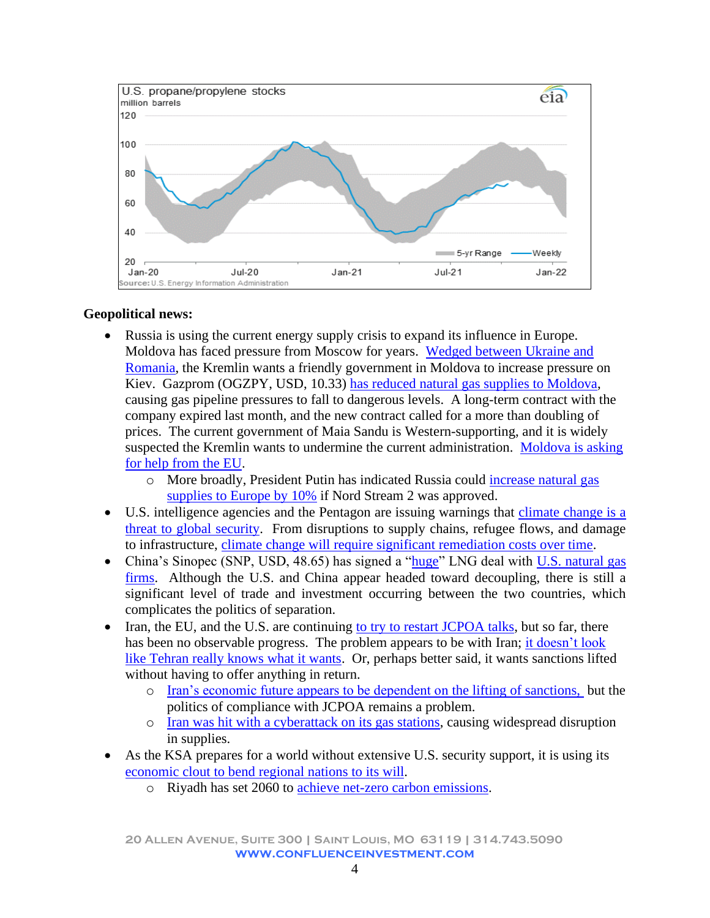

## **Geopolitical news:**

- Russia is using the current energy supply crisis to expand its influence in Europe. Moldova has faced pressure from Moscow for years. [Wedged between Ukraine and](https://www.google.com/maps/place/Moldova/@46.9578316,26.1472139,7z/data=!3m1!4b1!4m5!3m4!1s0x40c97c3628b769a1:0x258119acdf53accb!8m2!3d47.411631!4d28.369885)  [Romania,](https://www.google.com/maps/place/Moldova/@46.9578316,26.1472139,7z/data=!3m1!4b1!4m5!3m4!1s0x40c97c3628b769a1:0x258119acdf53accb!8m2!3d47.411631!4d28.369885) the Kremlin wants a friendly government in Moldova to increase pressure on Kiev. Gazprom (OGZPY, USD, 10.33) [has reduced natural gas supplies to Moldova,](https://www.ft.com/content/849e05db-3b8f-4e9d-afaa-8c28c8670310) causing gas pipeline pressures to fall to dangerous levels. A long-term contract with the company expired last month, and the new contract called for a more than doubling of prices. The current government of Maia Sandu is Western-supporting, and it is widely suspected the Kremlin wants to undermine the current administration. [Moldova is asking](https://balkaninsight.com/2021/10/19/moldova-seeks-european-help-to-tackle-gas-supply-crisis/?utm_source=POLITICO.EU&utm_campaign=4f3bfaa83e-EMAIL_CAMPAIGN_2021_10_22_03_57&utm_medium=email&utm_term=0_10959edeb5-4f3bfaa83e-190334489)  [for help from the EU.](https://balkaninsight.com/2021/10/19/moldova-seeks-european-help-to-tackle-gas-supply-crisis/?utm_source=POLITICO.EU&utm_campaign=4f3bfaa83e-EMAIL_CAMPAIGN_2021_10_22_03_57&utm_medium=email&utm_term=0_10959edeb5-4f3bfaa83e-190334489)
	- o More broadly, President Putin has indicated Russia could [increase natural gas](https://www.ft.com/content/e5f74353-73e5-4273-ae13-cc3d0985e606?segmentId=98583035-ac35-a0ba-ed44-378e53f8caec)  [supplies to Europe by 10%](https://www.ft.com/content/e5f74353-73e5-4273-ae13-cc3d0985e606?segmentId=98583035-ac35-a0ba-ed44-378e53f8caec) if Nord Stream 2 was approved.
- U.S. intelligence agencies and the Pentagon are issuing warnings that [climate change is a](https://www.washingtonpost.com/national-security/intelligence-pentagon-climate-change-warnings/2021/10/21/ea3a2c84-31d3-11ec-a1e5-07223c50280a_story.html?utm_source=newsletter&utm_medium=email&utm_campaign=newsletter_axiospm&stream=top)  [threat to global security.](https://www.washingtonpost.com/national-security/intelligence-pentagon-climate-change-warnings/2021/10/21/ea3a2c84-31d3-11ec-a1e5-07223c50280a_story.html?utm_source=newsletter&utm_medium=email&utm_campaign=newsletter_axiospm&stream=top) From disruptions to supply chains, refugee flows, and damage to infrastructure, [climate change will require significant remediation costs over time.](https://www.axios.com/climate-change-economic-threat-fsoc-report-53338752-20f7-444d-8fad-967a89b3d060.html?utm_source=newsletter&utm_medium=email&utm_campaign=newsletter_axiosmarkets&stream=business)
- China's Sinopec (SNP, USD, 48.65) has signed a ["huge"](https://www.ft.com/content/00fdc70e-1482-4ce6-ba43-a802550838d4?emailId=61709397d7ecbd0004e171a6&segmentId=7e94968a-a618-c46d-4d8b-6e2655e68320) LNG deal with U.S. natural gas [firms.](https://www.reuters.com/business/energy/chinas-enn-agrees-long-term-gas-deal-with-us-energy-firm-cheniere-2021-10-11/) Although the U.S. and China appear headed toward decoupling, there is still a significant level of trade and investment occurring between the two countries, which complicates the politics of separation.
- Iran, the EU, and the U.S. are continuing to try to [restart JCPOA talks,](https://amwaj.media/article/iran-eu-meeting-in-brussels-geared-to-avoid-exhaustive-talks-in-vienna) but so far, there has been no observable progress. The problem appears to be with Iran; [it doesn't look](https://amwaj.media/media-monitor/iran-s-confusing-foreign-policy-raises-concerns-over-nuclear-talks)  [like Tehran really knows what it wants.](https://amwaj.media/media-monitor/iran-s-confusing-foreign-policy-raises-concerns-over-nuclear-talks) Or, perhaps better said, it wants sanctions lifted without having to offer anything in return.
	- o [Iran's economic future appears to be dependent on the](https://amwaj.media/article/scenarios-for-iran-s-economic-development) lifting of sanctions, but the politics of compliance with JCPOA remains a problem.
	- o [Iran was hit with a cyberattack on its gas stations,](https://www.reuters.com/world/middle-east/iran-says-cyberattack-behind-widespread-disruption-gas-stations-2021-10-26/) causing widespread disruption in supplies.
- As the KSA prepares for a world without extensive U.S. security support, it is using its [economic clout to bend regional nations to its](https://www.ft.com/content/79abe724-0e42-4933-8305-61524f24e1ae?emailId=61761b2b6cd0bb0004d68bab&segmentId=22011ee7-896a-8c4c-22a0-7603348b7f22) will.
	- o Riyadh has set 2060 to [achieve net-zero carbon emissions.](https://www.ft.com/content/399f3cb5-2256-4f3c-9443-48ee18263d41)